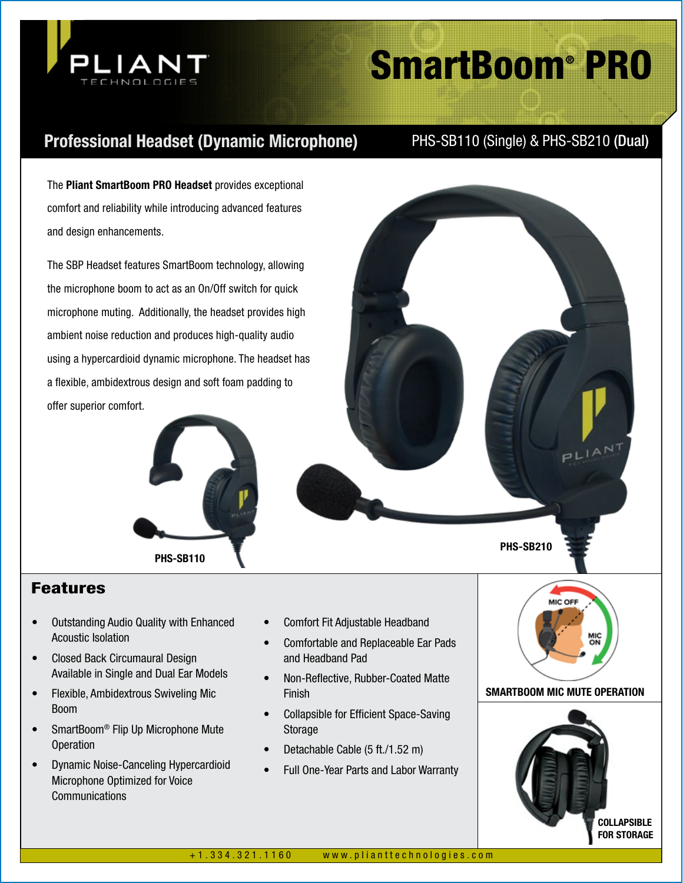

# SmartBoom® PRO

# Professional Headset (Dynamic Microphone) PHS-SB110 (Single) & PHS-SB210 (Dual)

The Pliant SmartBoom PRO Headset provides exceptional comfort and reliability while introducing advanced features and design enhancements.

The SBP Headset features SmartBoom technology, allowing the microphone boom to act as an On/Off switch for quick microphone muting. Additionally, the headset provides high ambient noise reduction and produces high-quality audio using a hypercardioid dynamic microphone. The headset has a flexible, ambidextrous design and soft foam padding to offer superior comfort.





# Features

- Outstanding Audio Quality with Enhanced Acoustic Isolation
- Closed Back Circumaural Design Available in Single and Dual Ear Models
- Flexible, Ambidextrous Swiveling Mic Boom
- SmartBoom<sup>®</sup> Flip Up Microphone Mute Operation
- Dynamic Noise-Canceling Hypercardioid Microphone Optimized for Voice **Communications**
- Comfort Fit Adjustable Headband
- Comfortable and Replaceable Ear Pads and Headband Pad
- Non-Reflective, Rubber-Coated Matte Finish
- Collapsible for Efficient Space-Saving Storage
- Detachable Cable (5 ft./1.52 m)
- Full One-Year Parts and Labor Warranty



# SMARTBOOM MIC MUTE OPERATION